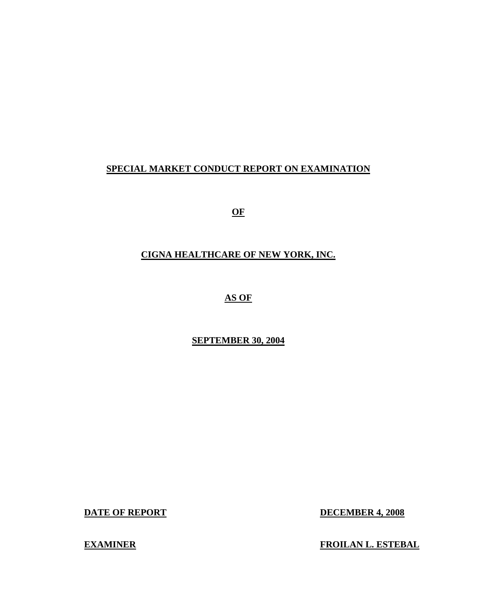# **SPECIAL MARKET CONDUCT REPORT ON EXAMINATION**

**OF** 

# **CIGNA HEALTHCARE OF NEW YORK, INC.**

**AS OF** 

# **SEPTEMBER 30, 2004**

**DATE OF REPORT** 

**DECEMBER 4, 2008** 

**EXAMINER** 

**FROILAN L. ESTEBAL**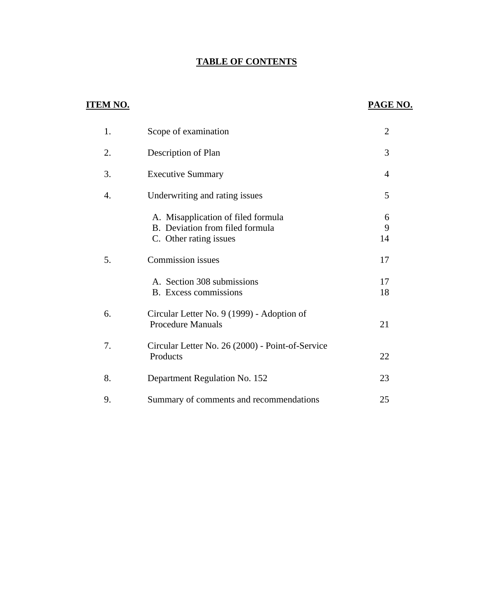# **TABLE OF CONTENTS**

# **ITEM NO.**

# **PAGE NO.**

| 1. | Scope of examination                                                                            | $\overline{2}$ |
|----|-------------------------------------------------------------------------------------------------|----------------|
| 2. | Description of Plan                                                                             | 3              |
| 3. | <b>Executive Summary</b>                                                                        | 4              |
| 4. | Underwriting and rating issues                                                                  | 5              |
|    | A. Misapplication of filed formula<br>B. Deviation from filed formula<br>C. Other rating issues | 6<br>9<br>14   |
| 5. | <b>Commission</b> issues                                                                        | 17             |
|    | A. Section 308 submissions<br>B. Excess commissions                                             | 17<br>18       |
| 6. | Circular Letter No. 9 (1999) - Adoption of<br><b>Procedure Manuals</b>                          | 21             |
| 7. | Circular Letter No. 26 (2000) - Point-of-Service<br>Products                                    | 22             |
| 8. | Department Regulation No. 152                                                                   | 23             |
| 9. | Summary of comments and recommendations                                                         | 25             |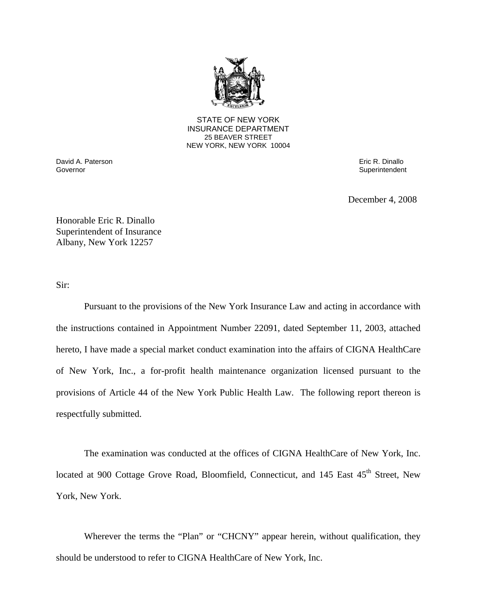

25 BEAVER STREET STATE OF NEW YORK INSURANCE DEPARTMENT NEW YORK, NEW YORK 10004

**David A. Paterson** Eric R. Dinallo Governor **Superintendent** Superintendent Superintendent Superintendent Superintendent Superintendent Superintendent

December 4, 2008

Honorable Eric R. Dinallo Superintendent of Insurance Albany, New York 12257

Sir:

Pursuant to the provisions of the New York Insurance Law and acting in accordance with the instructions contained in Appointment Number 22091, dated September 11, 2003, attached hereto, I have made a special market conduct examination into the affairs of CIGNA HealthCare of New York, Inc., a for-profit health maintenance organization licensed pursuant to the provisions of Article 44 of the New York Public Health Law. The following report thereon is respectfully submitted.

The examination was conducted at the offices of CIGNA HealthCare of New York, Inc. located at 900 Cottage Grove Road, Bloomfield, Connecticut, and 145 East 45<sup>th</sup> Street, New York, New York.

Wherever the terms the "Plan" or "CHCNY" appear herein, without qualification, they should be understood to refer to CIGNA HealthCare of New York, Inc.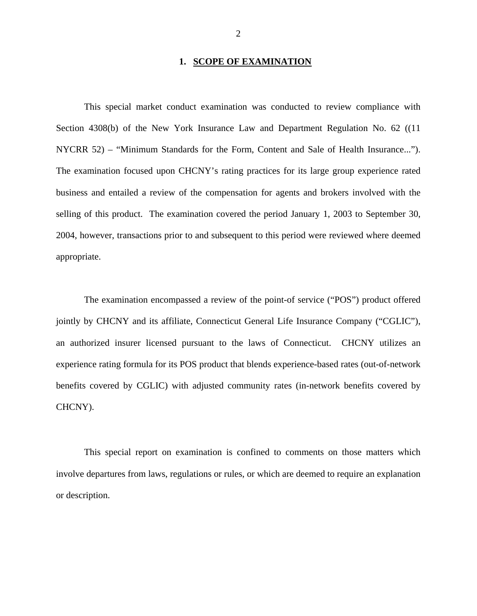#### **1. SCOPE OF EXAMINATION**

<span id="page-3-0"></span>This special market conduct examination was conducted to review compliance with Section 4308(b) of the New York Insurance Law and Department Regulation No. 62 ((11 NYCRR 52) – "Minimum Standards for the Form, Content and Sale of Health Insurance..."). The examination focused upon CHCNY's rating practices for its large group experience rated business and entailed a review of the compensation for agents and brokers involved with the selling of this product. The examination covered the period January 1, 2003 to September 30, 2004, however, transactions prior to and subsequent to this period were reviewed where deemed appropriate.

The examination encompassed a review of the point-of service ("POS") product offered jointly by CHCNY and its affiliate, Connecticut General Life Insurance Company ("CGLIC"), an authorized insurer licensed pursuant to the laws of Connecticut. CHCNY utilizes an experience rating formula for its POS product that blends experience-based rates (out-of-network benefits covered by CGLIC) with adjusted community rates (in-network benefits covered by CHCNY).

 or description. This special report on examination is confined to comments on those matters which involve departures from laws, regulations or rules, or which are deemed to require an explanation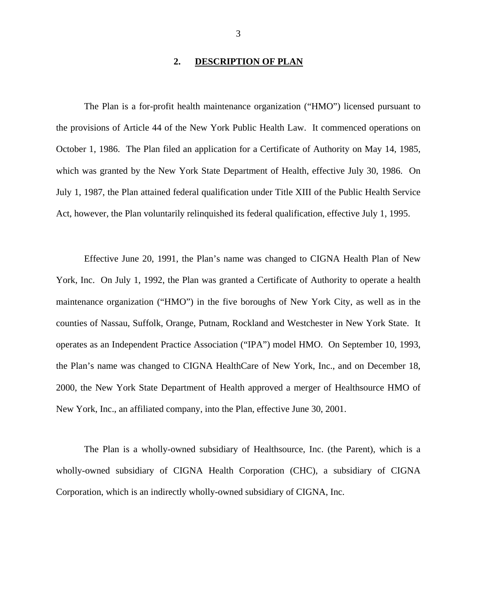#### **2. DESCRIPTION OF PLAN**

<span id="page-4-0"></span>The Plan is a for-profit health maintenance organization ("HMO") licensed pursuant to the provisions of Article 44 of the New York Public Health Law. It commenced operations on October 1, 1986. The Plan filed an application for a Certificate of Authority on May 14, 1985, which was granted by the New York State Department of Health, effective July 30, 1986. On July 1, 1987, the Plan attained federal qualification under Title XIII of the Public Health Service Act, however, the Plan voluntarily relinquished its federal qualification, effective July 1, 1995.

Effective June 20, 1991, the Plan's name was changed to CIGNA Health Plan of New York, Inc. On July 1, 1992, the Plan was granted a Certificate of Authority to operate a health maintenance organization ("HMO") in the five boroughs of New York City, as well as in the counties of Nassau, Suffolk, Orange, Putnam, Rockland and Westchester in New York State. It operates as an Independent Practice Association ("IPA") model HMO. On September 10, 1993, the Plan's name was changed to CIGNA HealthCare of New York, Inc., and on December 18, 2000, the New York State Department of Health approved a merger of Healthsource HMO of New York, Inc., an affiliated company, into the Plan, effective June 30, 2001.

The Plan is a wholly-owned subsidiary of Healthsource, Inc. (the Parent), which is a wholly-owned subsidiary of CIGNA Health Corporation (CHC), a subsidiary of CIGNA Corporation, which is an indirectly wholly-owned subsidiary of CIGNA, Inc.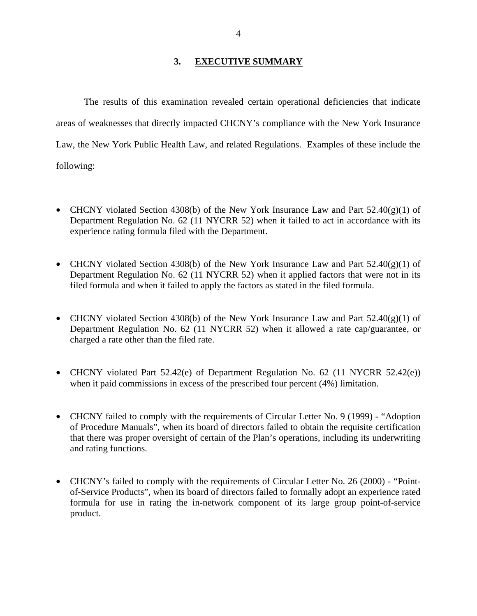### **3. EXECUTIVE SUMMARY**

<span id="page-5-0"></span>The results of this examination revealed certain operational deficiencies that indicate areas of weaknesses that directly impacted CHCNY's compliance with the New York Insurance Law, the New York Public Health Law, and related Regulations. Examples of these include the following:

- CHCNY violated Section 4308(b) of the New York Insurance Law and Part  $52.40(g)(1)$  of Department Regulation No. 62 (11 NYCRR 52) when it failed to act in accordance with its experience rating formula filed with the Department.
- CHCNY violated Section 4308(b) of the New York Insurance Law and Part  $52.40(g)(1)$  of Department Regulation No. 62 (11 NYCRR 52) when it applied factors that were not in its filed formula and when it failed to apply the factors as stated in the filed formula.
- CHCNY violated Section 4308(b) of the New York Insurance Law and Part  $52.40(g)(1)$  of Department Regulation No. 62 (11 NYCRR 52) when it allowed a rate cap/guarantee, or charged a rate other than the filed rate.
- CHCNY violated Part 52.42(e) of Department Regulation No. 62 (11 NYCRR 52.42(e)) when it paid commissions in excess of the prescribed four percent (4%) limitation.
- CHCNY failed to comply with the requirements of Circular Letter No. 9 (1999) "Adoption" of Procedure Manuals", when its board of directors failed to obtain the requisite certification that there was proper oversight of certain of the Plan's operations, including its underwriting and rating functions.
- CHCNY's failed to comply with the requirements of Circular Letter No. 26 (2000) "Pointof-Service Products", when its board of directors failed to formally adopt an experience rated formula for use in rating the in-network component of its large group point-of-service product.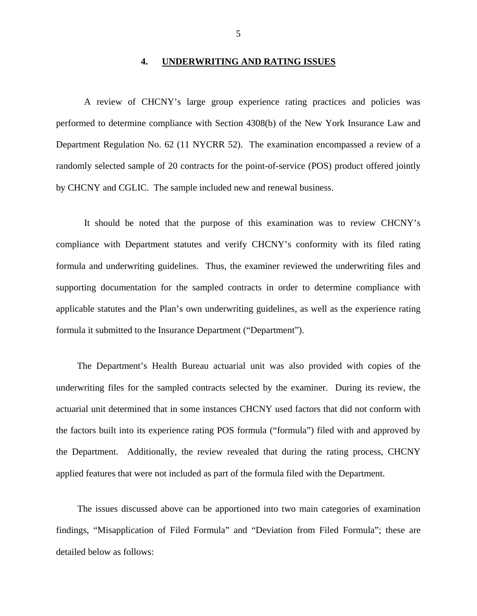#### **4. UNDERWRITING AND RATING ISSUES**

<span id="page-6-0"></span>A review of CHCNY's large group experience rating practices and policies was performed to determine compliance with Section 4308(b) of the New York Insurance Law and Department Regulation No. 62 (11 NYCRR 52). The examination encompassed a review of a randomly selected sample of 20 contracts for the point-of-service (POS) product offered jointly by CHCNY and CGLIC. The sample included new and renewal business.

It should be noted that the purpose of this examination was to review CHCNY's compliance with Department statutes and verify CHCNY's conformity with its filed rating formula and underwriting guidelines. Thus, the examiner reviewed the underwriting files and supporting documentation for the sampled contracts in order to determine compliance with applicable statutes and the Plan's own underwriting guidelines, as well as the experience rating formula it submitted to the Insurance Department ("Department").

The Department's Health Bureau actuarial unit was also provided with copies of the underwriting files for the sampled contracts selected by the examiner. During its review, the actuarial unit determined that in some instances CHCNY used factors that did not conform with the factors built into its experience rating POS formula ("formula") filed with and approved by the Department. Additionally, the review revealed that during the rating process, CHCNY applied features that were not included as part of the formula filed with the Department.

The issues discussed above can be apportioned into two main categories of examination findings, "Misapplication of Filed Formula" and "Deviation from Filed Formula"; these are detailed below as follows: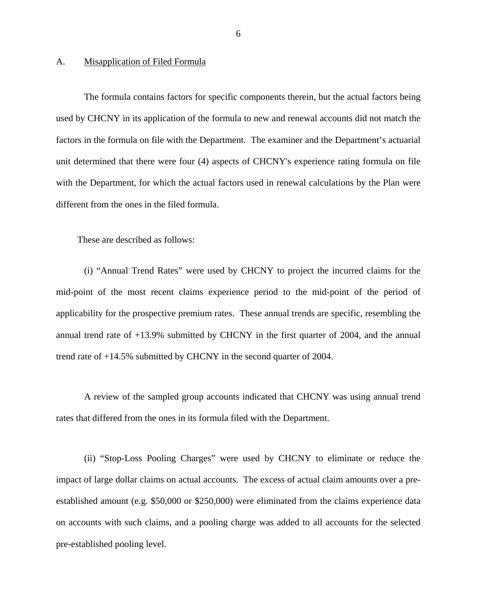#### <span id="page-7-0"></span>A. Misapplication of Filed Formula

The formula contains factors for specific components therein, but the actual factors being used by CHCNY in its application of the formula to new and renewal accounts did not match the factors in the formula on file with the Department. The examiner and the Department's actuarial unit determined that there were four (4) aspects of CHCNY's experience rating formula on file with the Department, for which the actual factors used in renewal calculations by the Plan were different from the ones in the filed formula.

These are described as follows:

(i) "Annual Trend Rates" were used by CHCNY to project the incurred claims for the mid-point of the most recent claims experience period to the mid-point of the period of applicability for the prospective premium rates. These annual trends are specific, resembling the annual trend rate of +13.9% submitted by CHCNY in the first quarter of 2004, and the annual trend rate of +14.5% submitted by CHCNY in the second quarter of 2004.

A review of the sampled group accounts indicated that CHCNY was using annual trend rates that differed from the ones in its formula filed with the Department.

(ii) "Stop-Loss Pooling Charges" were used by CHCNY to eliminate or reduce the impact of large dollar claims on actual accounts. The excess of actual claim amounts over a preestablished amount (e.g. \$50,000 or \$250,000) were eliminated from the claims experience data on accounts with such claims, and a pooling charge was added to all accounts for the selected pre-established pooling level.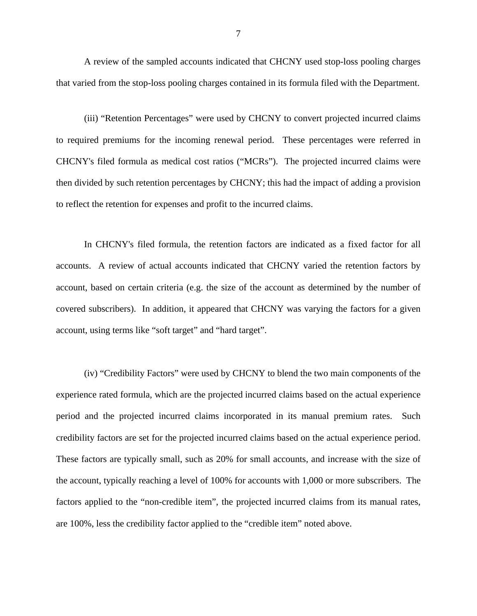A review of the sampled accounts indicated that CHCNY used stop-loss pooling charges that varied from the stop-loss pooling charges contained in its formula filed with the Department.

(iii) "Retention Percentages" were used by CHCNY to convert projected incurred claims to required premiums for the incoming renewal period. These percentages were referred in CHCNY's filed formula as medical cost ratios ("MCRs"). The projected incurred claims were then divided by such retention percentages by CHCNY; this had the impact of adding a provision to reflect the retention for expenses and profit to the incurred claims.

In CHCNY's filed formula, the retention factors are indicated as a fixed factor for all accounts. A review of actual accounts indicated that CHCNY varied the retention factors by account, based on certain criteria (e.g. the size of the account as determined by the number of covered subscribers). In addition, it appeared that CHCNY was varying the factors for a given account, using terms like "soft target" and "hard target".

(iv) "Credibility Factors" were used by CHCNY to blend the two main components of the experience rated formula, which are the projected incurred claims based on the actual experience period and the projected incurred claims incorporated in its manual premium rates. Such credibility factors are set for the projected incurred claims based on the actual experience period. These factors are typically small, such as 20% for small accounts, and increase with the size of the account, typically reaching a level of 100% for accounts with 1,000 or more subscribers. The factors applied to the "non-credible item", the projected incurred claims from its manual rates, are 100%, less the credibility factor applied to the "credible item" noted above.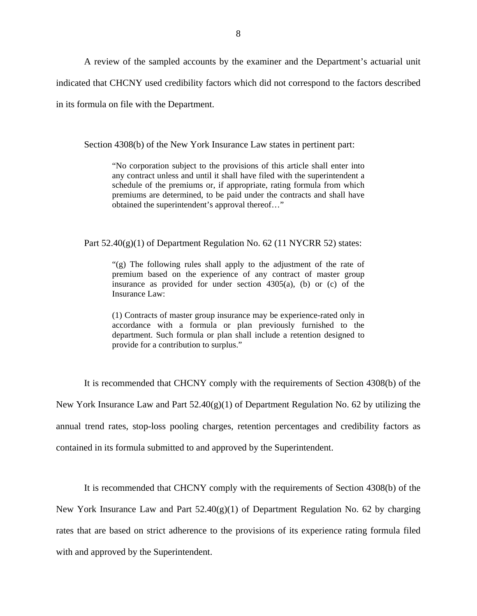A review of the sampled accounts by the examiner and the Department's actuarial unit indicated that CHCNY used credibility factors which did not correspond to the factors described in its formula on file with the Department.

Section 4308(b) of the New York Insurance Law states in pertinent part:

"No corporation subject to the provisions of this article shall enter into any contract unless and until it shall have filed with the superintendent a schedule of the premiums or, if appropriate, rating formula from which premiums are determined, to be paid under the contracts and shall have obtained the superintendent's approval thereof…"

Part  $52.40(g)(1)$  of Department Regulation No. 62 (11 NYCRR 52) states:

"(g) The following rules shall apply to the adjustment of the rate of premium based on the experience of any contract of master group insurance as provided for under section  $4305(a)$ , (b) or (c) of the Insurance Law:

(1) Contracts of master group insurance may be experience-rated only in accordance with a formula or plan previously furnished to the department. Such formula or plan shall include a retention designed to provide for a contribution to surplus."

It is recommended that CHCNY comply with the requirements of Section 4308(b) of the New York Insurance Law and Part  $52.40(g)(1)$  of Department Regulation No. 62 by utilizing the annual trend rates, stop-loss pooling charges, retention percentages and credibility factors as contained in its formula submitted to and approved by the Superintendent.

It is recommended that CHCNY comply with the requirements of Section 4308(b) of the New York Insurance Law and Part  $52.40(g)(1)$  of Department Regulation No. 62 by charging rates that are based on strict adherence to the provisions of its experience rating formula filed with and approved by the Superintendent.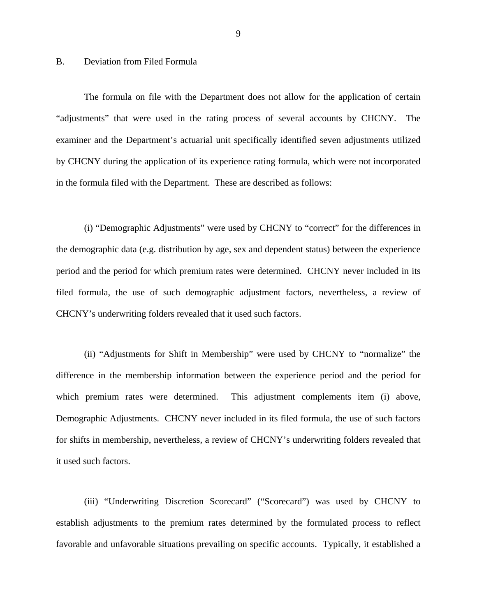#### <span id="page-10-0"></span>B. Deviation from Filed Formula

The formula on file with the Department does not allow for the application of certain "adjustments" that were used in the rating process of several accounts by CHCNY. The examiner and the Department's actuarial unit specifically identified seven adjustments utilized by CHCNY during the application of its experience rating formula, which were not incorporated in the formula filed with the Department. These are described as follows:

(i) "Demographic Adjustments" were used by CHCNY to "correct" for the differences in the demographic data (e.g. distribution by age, sex and dependent status) between the experience period and the period for which premium rates were determined. CHCNY never included in its filed formula, the use of such demographic adjustment factors, nevertheless, a review of CHCNY's underwriting folders revealed that it used such factors.

(ii) "Adjustments for Shift in Membership" were used by CHCNY to "normalize" the difference in the membership information between the experience period and the period for which premium rates were determined. This adjustment complements item (i) above, Demographic Adjustments. CHCNY never included in its filed formula, the use of such factors for shifts in membership, nevertheless, a review of CHCNY's underwriting folders revealed that it used such factors.

(iii) "Underwriting Discretion Scorecard" ("Scorecard") was used by CHCNY to establish adjustments to the premium rates determined by the formulated process to reflect favorable and unfavorable situations prevailing on specific accounts. Typically, it established a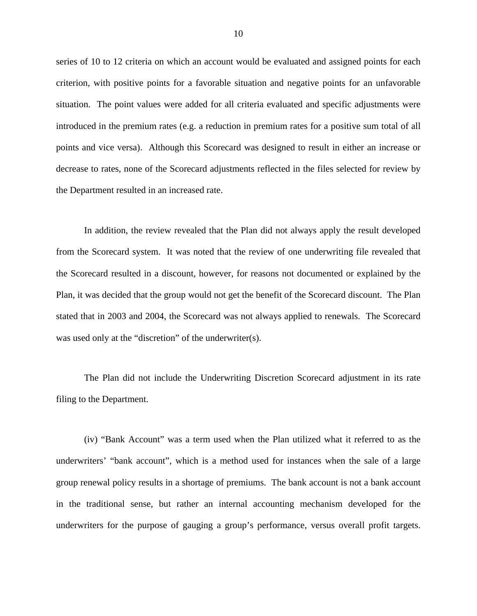series of 10 to 12 criteria on which an account would be evaluated and assigned points for each criterion, with positive points for a favorable situation and negative points for an unfavorable situation. The point values were added for all criteria evaluated and specific adjustments were introduced in the premium rates (e.g. a reduction in premium rates for a positive sum total of all points and vice versa). Although this Scorecard was designed to result in either an increase or decrease to rates, none of the Scorecard adjustments reflected in the files selected for review by the Department resulted in an increased rate.

In addition, the review revealed that the Plan did not always apply the result developed from the Scorecard system. It was noted that the review of one underwriting file revealed that the Scorecard resulted in a discount, however, for reasons not documented or explained by the Plan, it was decided that the group would not get the benefit of the Scorecard discount. The Plan stated that in 2003 and 2004, the Scorecard was not always applied to renewals. The Scorecard was used only at the "discretion" of the underwriter(s).

The Plan did not include the Underwriting Discretion Scorecard adjustment in its rate filing to the Department.

(iv) "Bank Account" was a term used when the Plan utilized what it referred to as the underwriters' "bank account", which is a method used for instances when the sale of a large group renewal policy results in a shortage of premiums. The bank account is not a bank account in the traditional sense, but rather an internal accounting mechanism developed for the underwriters for the purpose of gauging a group's performance, versus overall profit targets.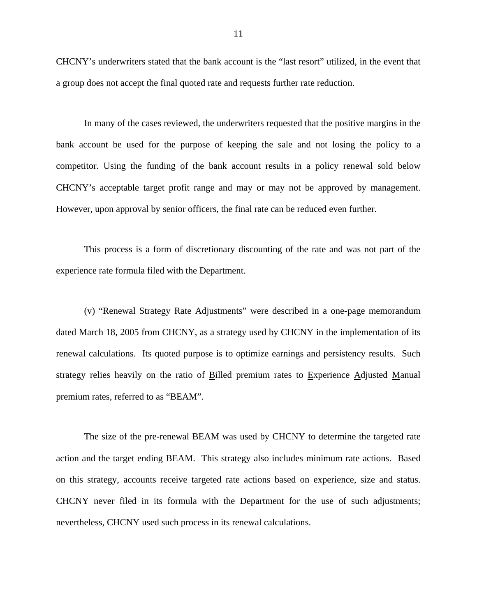CHCNY's underwriters stated that the bank account is the "last resort" utilized, in the event that a group does not accept the final quoted rate and requests further rate reduction.

In many of the cases reviewed, the underwriters requested that the positive margins in the bank account be used for the purpose of keeping the sale and not losing the policy to a competitor. Using the funding of the bank account results in a policy renewal sold below CHCNY's acceptable target profit range and may or may not be approved by management. However, upon approval by senior officers, the final rate can be reduced even further.

This process is a form of discretionary discounting of the rate and was not part of the experience rate formula filed with the Department.

(v) "Renewal Strategy Rate Adjustments" were described in a one-page memorandum dated March 18, 2005 from CHCNY, as a strategy used by CHCNY in the implementation of its renewal calculations. Its quoted purpose is to optimize earnings and persistency results. Such strategy relies heavily on the ratio of Billed premium rates to Experience Adjusted Manual premium rates, referred to as "BEAM".

on this strategy, accounts receive targeted rate actions based on experience, size and status. The size of the pre-renewal BEAM was used by CHCNY to determine the targeted rate action and the target ending BEAM. This strategy also includes minimum rate actions. Based CHCNY never filed in its formula with the Department for the use of such adjustments; nevertheless, CHCNY used such process in its renewal calculations.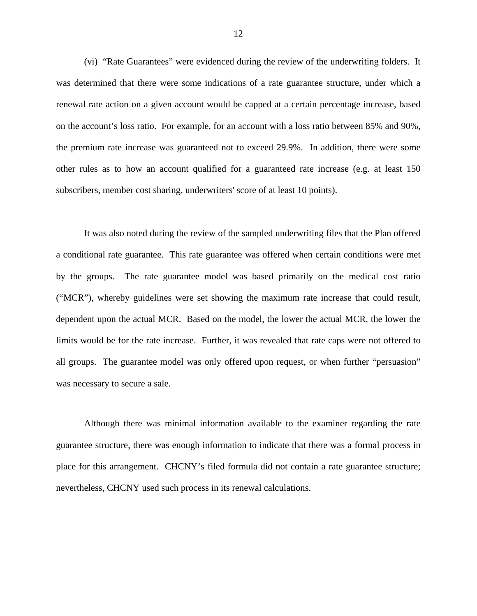(vi) "Rate Guarantees" were evidenced during the review of the underwriting folders. It was determined that there were some indications of a rate guarantee structure, under which a renewal rate action on a given account would be capped at a certain percentage increase, based on the account's loss ratio. For example, for an account with a loss ratio between 85% and 90%, the premium rate increase was guaranteed not to exceed 29.9%. In addition, there were some other rules as to how an account qualified for a guaranteed rate increase (e.g. at least 150 subscribers, member cost sharing, underwriters' score of at least 10 points).

It was also noted during the review of the sampled underwriting files that the Plan offered a conditional rate guarantee. This rate guarantee was offered when certain conditions were met by the groups. The rate guarantee model was based primarily on the medical cost ratio ("MCR"), whereby guidelines were set showing the maximum rate increase that could result, dependent upon the actual MCR. Based on the model, the lower the actual MCR, the lower the limits would be for the rate increase. Further, it was revealed that rate caps were not offered to all groups. The guarantee model was only offered upon request, or when further "persuasion" was necessary to secure a sale.

Although there was minimal information available to the examiner regarding the rate guarantee structure, there was enough information to indicate that there was a formal process in place for this arrangement. CHCNY's filed formula did not contain a rate guarantee structure; nevertheless, CHCNY used such process in its renewal calculations.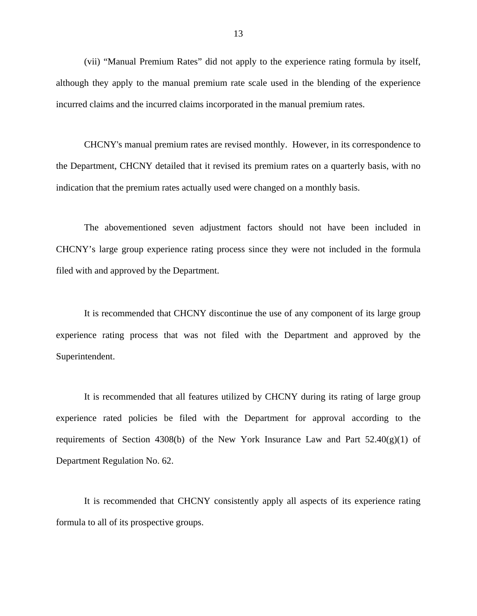(vii) "Manual Premium Rates" did not apply to the experience rating formula by itself, although they apply to the manual premium rate scale used in the blending of the experience incurred claims and the incurred claims incorporated in the manual premium rates.

CHCNY's manual premium rates are revised monthly. However, in its correspondence to the Department, CHCNY detailed that it revised its premium rates on a quarterly basis, with no indication that the premium rates actually used were changed on a monthly basis.

The abovementioned seven adjustment factors should not have been included in CHCNY's large group experience rating process since they were not included in the formula filed with and approved by the Department.

It is recommended that CHCNY discontinue the use of any component of its large group experience rating process that was not filed with the Department and approved by the Superintendent.

It is recommended that all features utilized by CHCNY during its rating of large group experience rated policies be filed with the Department for approval according to the requirements of Section 4308(b) of the New York Insurance Law and Part  $52.40(g)(1)$  of Department Regulation No. 62.

It is recommended that CHCNY consistently apply all aspects of its experience rating formula to all of its prospective groups.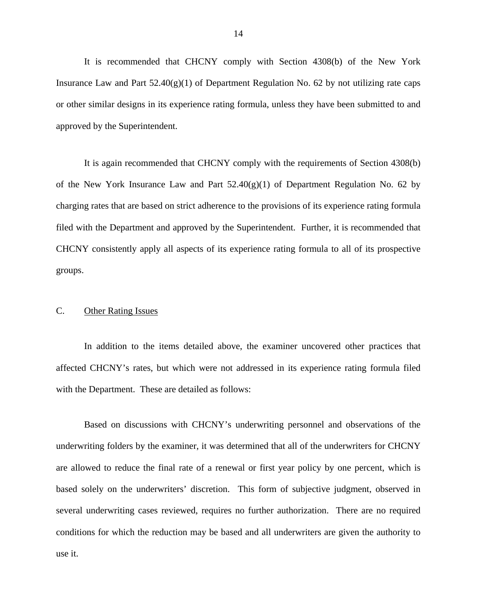<span id="page-15-0"></span>It is recommended that CHCNY comply with Section 4308(b) of the New York Insurance Law and Part  $52.40(g)(1)$  of Department Regulation No. 62 by not utilizing rate caps or other similar designs in its experience rating formula, unless they have been submitted to and approved by the Superintendent.

It is again recommended that CHCNY comply with the requirements of Section 4308(b) of the New York Insurance Law and Part  $52.40(g)(1)$  of Department Regulation No. 62 by charging rates that are based on strict adherence to the provisions of its experience rating formula filed with the Department and approved by the Superintendent. Further, it is recommended that CHCNY consistently apply all aspects of its experience rating formula to all of its prospective groups.

#### C. Other Rating Issues

In addition to the items detailed above, the examiner uncovered other practices that affected CHCNY's rates, but which were not addressed in its experience rating formula filed with the Department. These are detailed as follows:

Based on discussions with CHCNY's underwriting personnel and observations of the underwriting folders by the examiner, it was determined that all of the underwriters for CHCNY are allowed to reduce the final rate of a renewal or first year policy by one percent, which is based solely on the underwriters' discretion. This form of subjective judgment, observed in several underwriting cases reviewed, requires no further authorization. There are no required conditions for which the reduction may be based and all underwriters are given the authority to use it.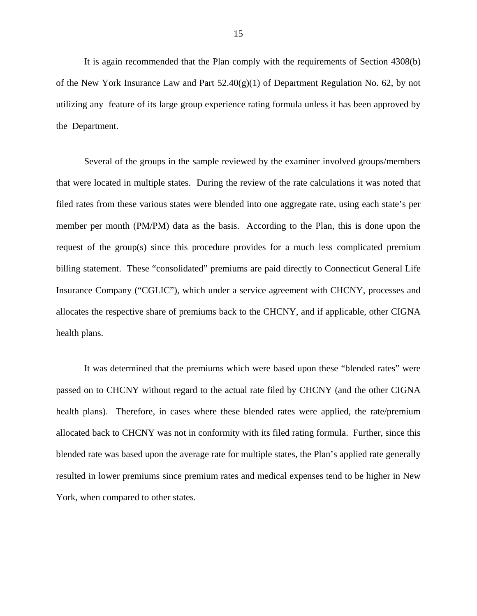It is again recommended that the Plan comply with the requirements of Section 4308(b) of the New York Insurance Law and Part  $52.40(g)(1)$  of Department Regulation No. 62, by not utilizing any feature of its large group experience rating formula unless it has been approved by the Department.

Several of the groups in the sample reviewed by the examiner involved groups/members that were located in multiple states. During the review of the rate calculations it was noted that filed rates from these various states were blended into one aggregate rate, using each state's per member per month (PM/PM) data as the basis. According to the Plan, this is done upon the request of the group(s) since this procedure provides for a much less complicated premium billing statement. These "consolidated" premiums are paid directly to Connecticut General Life Insurance Company ("CGLIC"), which under a service agreement with CHCNY, processes and allocates the respective share of premiums back to the CHCNY, and if applicable, other CIGNA health plans.

 York, when compared to other states. It was determined that the premiums which were based upon these "blended rates" were passed on to CHCNY without regard to the actual rate filed by CHCNY (and the other CIGNA health plans). Therefore, in cases where these blended rates were applied, the rate/premium allocated back to CHCNY was not in conformity with its filed rating formula. Further, since this blended rate was based upon the average rate for multiple states, the Plan's applied rate generally resulted in lower premiums since premium rates and medical expenses tend to be higher in New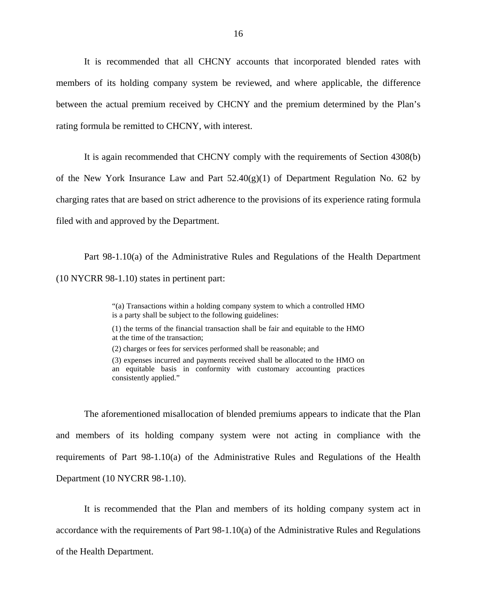It is recommended that all CHCNY accounts that incorporated blended rates with members of its holding company system be reviewed, and where applicable, the difference between the actual premium received by CHCNY and the premium determined by the Plan's rating formula be remitted to CHCNY, with interest.

It is again recommended that CHCNY comply with the requirements of Section 4308(b) of the New York Insurance Law and Part  $52.40(g)(1)$  of Department Regulation No. 62 by charging rates that are based on strict adherence to the provisions of its experience rating formula filed with and approved by the Department.

Part 98-1.10(a) of the Administrative Rules and Regulations of the Health Department (10 NYCRR 98-1.10) states in pertinent part:

> "(a) Transactions within a holding company system to which a controlled HMO is a party shall be subject to the following guidelines:

> (1) the terms of the financial transaction shall be fair and equitable to the HMO at the time of the transaction;

(2) charges or fees for services performed shall be reasonable; and

(3) expenses incurred and payments received shall be allocated to the HMO on an equitable basis in conformity with customary accounting practices consistently applied."

The aforementioned misallocation of blended premiums appears to indicate that the Plan and members of its holding company system were not acting in compliance with the requirements of Part 98-1.10(a) of the Administrative Rules and Regulations of the Health Department (10 NYCRR 98-1.10).

It is recommended that the Plan and members of its holding company system act in accordance with the requirements of Part 98-1.10(a) of the Administrative Rules and Regulations of the Health Department.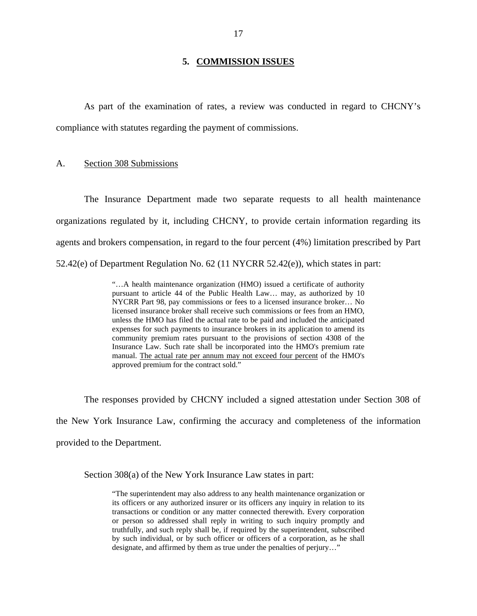#### **5. COMMISSION ISSUES**

<span id="page-18-0"></span>As part of the examination of rates, a review was conducted in regard to CHCNY's compliance with statutes regarding the payment of commissions.

#### Section 308 Submissions

A. Section 308 Submissions<br>The Insurance Department made two separate requests to all health maintenance organizations regulated by it, including CHCNY, to provide certain information regarding its agents and brokers compensation, in regard to the four percent (4%) limitation prescribed by Part 52.42(e) of Department Regulation No. 62 (11 NYCRR 52.42(e)), which states in part:

> "…A health maintenance organization (HMO) issued a certificate of authority pursuant to article 44 of the Public Health Law… may, as authorized by 10 NYCRR Part 98, pay commissions or fees to a licensed insurance broker… No licensed insurance broker shall receive such commissions or fees from an HMO, unless the HMO has filed the actual rate to be paid and included the anticipated expenses for such payments to insurance brokers in its application to amend its community premium rates pursuant to the provisions of section 4308 of the Insurance Law. Such rate shall be incorporated into the HMO's premium rate manual. The actual rate per annum may not exceed four percent of the HMO's approved premium for the contract sold."

The responses provided by CHCNY included a signed attestation under Section 308 of the New York Insurance Law, confirming the accuracy and completeness of the information provided to the Department.

Section 308(a) of the New York Insurance Law states in part:

 transactions or condition or any matter connected therewith. Every corporation "The superintendent may also address to any health maintenance organization or its officers or any authorized insurer or its officers any inquiry in relation to its or person so addressed shall reply in writing to such inquiry promptly and truthfully, and such reply shall be, if required by the superintendent, subscribed by such individual, or by such officer or officers of a corporation, as he shall designate, and affirmed by them as true under the penalties of perjury…"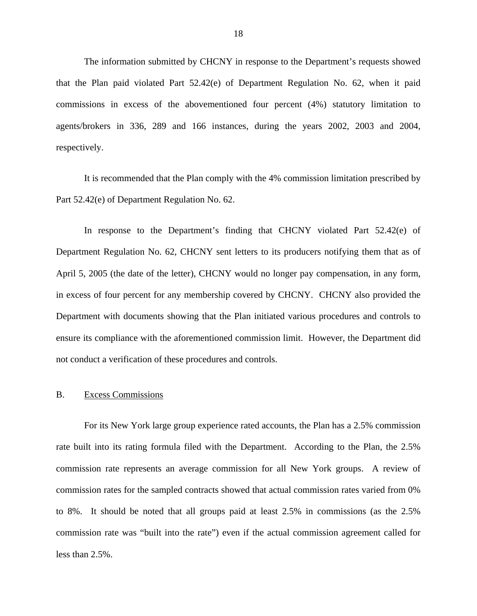<span id="page-19-0"></span>The information submitted by CHCNY in response to the Department's requests showed that the Plan paid violated Part 52.42(e) of Department Regulation No. 62, when it paid commissions in excess of the abovementioned four percent (4%) statutory limitation to agents/brokers in 336, 289 and 166 instances, during the years 2002, 2003 and 2004, respectively.

It is recommended that the Plan comply with the 4% commission limitation prescribed by Part 52.42(e) of Department Regulation No. 62.

In response to the Department's finding that CHCNY violated Part 52.42(e) of Department Regulation No. 62, CHCNY sent letters to its producers notifying them that as of April 5, 2005 (the date of the letter), CHCNY would no longer pay compensation, in any form, in excess of four percent for any membership covered by CHCNY. CHCNY also provided the Department with documents showing that the Plan initiated various procedures and controls to ensure its compliance with the aforementioned commission limit. However, the Department did not conduct a verification of these procedures and controls.

#### **Excess Commissions**

B. Excess Commissions<br>For its New York large group experience rated accounts, the Plan has a 2.5% commission rate built into its rating formula filed with the Department. According to the Plan, the 2.5% commission rate represents an average commission for all New York groups. A review of commission rates for the sampled contracts showed that actual commission rates varied from 0% to 8%. It should be noted that all groups paid at least 2.5% in commissions (as the 2.5% commission rate was "built into the rate") even if the actual commission agreement called for less than 2.5%.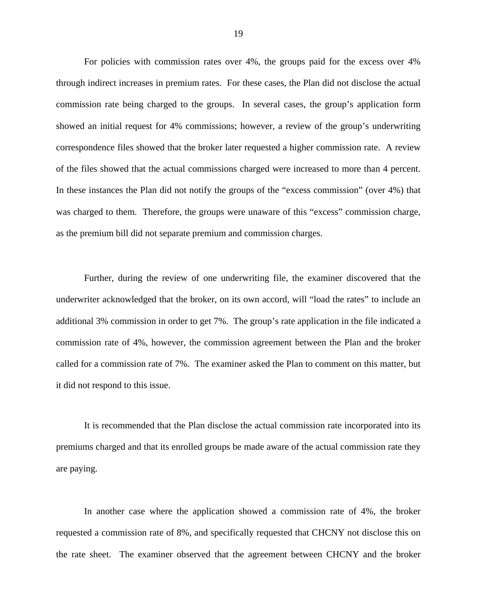For policies with commission rates over 4%, the groups paid for the excess over 4% through indirect increases in premium rates. For these cases, the Plan did not disclose the actual commission rate being charged to the groups. In several cases, the group's application form showed an initial request for 4% commissions; however, a review of the group's underwriting correspondence files showed that the broker later requested a higher commission rate. A review of the files showed that the actual commissions charged were increased to more than 4 percent. In these instances the Plan did not notify the groups of the "excess commission" (over 4%) that was charged to them. Therefore, the groups were unaware of this "excess" commission charge, as the premium bill did not separate premium and commission charges.

Further, during the review of one underwriting file, the examiner discovered that the underwriter acknowledged that the broker, on its own accord, will "load the rates" to include an additional 3% commission in order to get 7%. The group's rate application in the file indicated a commission rate of 4%, however, the commission agreement between the Plan and the broker called for a commission rate of 7%. The examiner asked the Plan to comment on this matter, but it did not respond to this issue.

It is recommended that the Plan disclose the actual commission rate incorporated into its premiums charged and that its enrolled groups be made aware of the actual commission rate they are paying.

In another case where the application showed a commission rate of 4%, the broker requested a commission rate of 8%, and specifically requested that CHCNY not disclose this on the rate sheet. The examiner observed that the agreement between CHCNY and the broker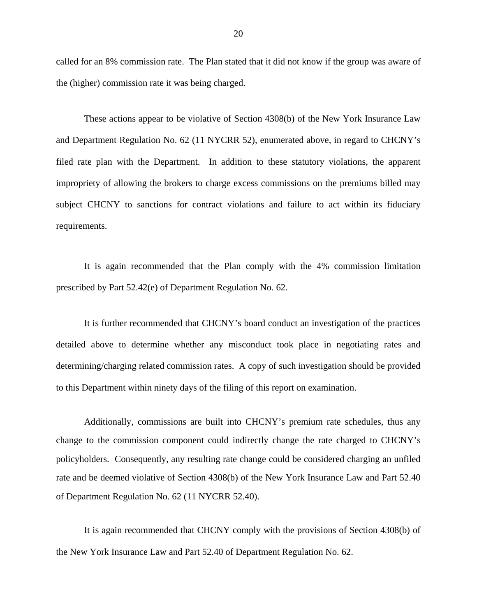called for an 8% commission rate. The Plan stated that it did not know if the group was aware of the (higher) commission rate it was being charged.

These actions appear to be violative of Section 4308(b) of the New York Insurance Law and Department Regulation No. 62 (11 NYCRR 52), enumerated above, in regard to CHCNY's filed rate plan with the Department. In addition to these statutory violations, the apparent impropriety of allowing the brokers to charge excess commissions on the premiums billed may subject CHCNY to sanctions for contract violations and failure to act within its fiduciary requirements.

It is again recommended that the Plan comply with the 4% commission limitation prescribed by Part 52.42(e) of Department Regulation No. 62.

It is further recommended that CHCNY's board conduct an investigation of the practices detailed above to determine whether any misconduct took place in negotiating rates and determining/charging related commission rates. A copy of such investigation should be provided to this Department within ninety days of the filing of this report on examination.

Additionally, commissions are built into CHCNY's premium rate schedules, thus any change to the commission component could indirectly change the rate charged to CHCNY's policyholders. Consequently, any resulting rate change could be considered charging an unfiled rate and be deemed violative of Section 4308(b) of the New York Insurance Law and Part 52.40 of Department Regulation No. 62 (11 NYCRR 52.40).

It is again recommended that CHCNY comply with the provisions of Section 4308(b) of the New York Insurance Law and Part 52.40 of Department Regulation No. 62.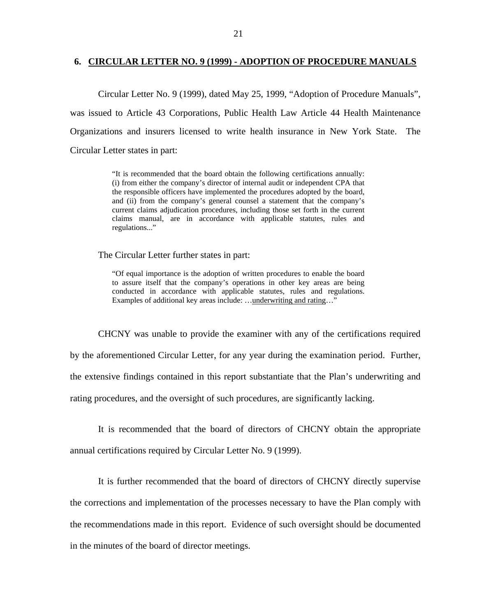#### <span id="page-22-0"></span>**6. CIRCULAR LETTER NO. 9 (1999) - ADOPTION OF PROCEDURE MANUALS**

Circular Letter No. 9 (1999), dated May 25, 1999, "Adoption of Procedure Manuals", was issued to Article 43 Corporations, Public Health Law Article 44 Health Maintenance Organizations and insurers licensed to write health insurance in New York State. The Circular Letter states in part:

> "It is recommended that the board obtain the following certifications annually: (i) from either the company's director of internal audit or independent CPA that the responsible officers have implemented the procedures adopted by the board, and (ii) from the company's general counsel a statement that the company's current claims adjudication procedures, including those set forth in the current claims manual, are in accordance with applicable statutes, rules and regulations..."

The Circular Letter further states in part:

"Of equal importance is the adoption of written procedures to enable the board to assure itself that the company's operations in other key areas are being conducted in accordance with applicable statutes, rules and regulations.

Examples of additional key areas include: …<u>underwriting and rating</u>…"<br>CHCNY was unable to provide the examiner with any of the certifications required by the aforementioned Circular Letter, for any year during the examination period. Further, the extensive findings contained in this report substantiate that the Plan's underwriting and rating procedures, and the oversight of such procedures, are significantly lacking.

It is recommended that the board of directors of CHCNY obtain the appropriate annual certifications required by Circular Letter No. 9 (1999).

It is further recommended that the board of directors of CHCNY directly supervise the corrections and implementation of the processes necessary to have the Plan comply with the recommendations made in this report. Evidence of such oversight should be documented in the minutes of the board of director meetings.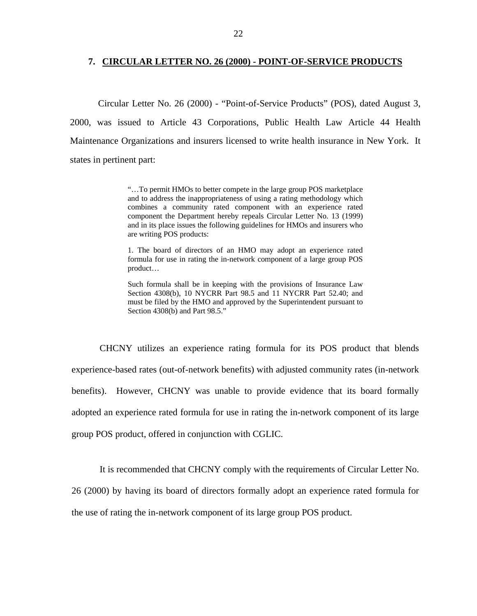#### <span id="page-23-0"></span>**7. CIRCULAR LETTER NO. 26 (2000) - POINT-OF-SERVICE PRODUCTS**

Circular Letter No. 26 (2000) - "Point-of-Service Products" (POS), dated August 3, 2000, was issued to Article 43 Corporations, Public Health Law Article 44 Health Maintenance Organizations and insurers licensed to write health insurance in New York. It states in pertinent part:

> "…To permit HMOs to better compete in the large group POS marketplace and to address the inappropriateness of using a rating methodology which combines a community rated component with an experience rated component the Department hereby repeals Circular Letter No. 13 (1999) and in its place issues the following guidelines for HMOs and insurers who are writing POS products:

> 1. The board of directors of an HMO may adopt an experience rated formula for use in rating the in-network component of a large group POS product…

> Such formula shall be in keeping with the provisions of Insurance Law Section 4308(b), 10 NYCRR Part 98.5 and 11 NYCRR Part 52.40; and must be filed by the HMO and approved by the Superintendent pursuant to Section 4308(b) and Part 98.5."

CHCNY utilizes an experience rating formula for its POS product that blends experience-based rates (out-of-network benefits) with adjusted community rates (in-network benefits). However, CHCNY was unable to provide evidence that its board formally adopted an experience rated formula for use in rating the in-network component of its large group POS product, offered in conjunction with CGLIC.

It is recommended that CHCNY comply with the requirements of Circular Letter No.

26 (2000) by having its board of directors formally adopt an experience rated formula for

the use of rating the in-network component of its large group POS product.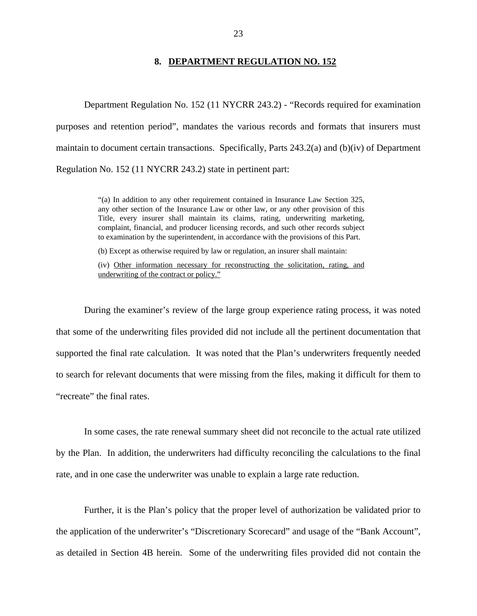#### **8. DEPARTMENT REGULATION NO. 152**

<span id="page-24-0"></span>Department Regulation No. 152 (11 NYCRR 243.2) - "Records required for examination purposes and retention period", mandates the various records and formats that insurers must maintain to document certain transactions. Specifically, Parts  $243.2(a)$  and  $(b)(iv)$  of Department Regulation No. 152 (11 NYCRR 243.2) state in pertinent part:

> any other section of the Insurance Law or other law, or any other provision of this "(a) In addition to any other requirement contained in Insurance Law Section 325, Title, every insurer shall maintain its claims, rating, underwriting marketing, complaint, financial, and producer licensing records, and such other records subject to examination by the superintendent, in accordance with the provisions of this Part.

(b) Except as otherwise required by law or regulation, an insurer shall maintain:

 underwriting of the contract or policy." (iv) Other information necessary for reconstructing the solicitation, rating, and

"recreate" the final rates. During the examiner's review of the large group experience rating process, it was noted that some of the underwriting files provided did not include all the pertinent documentation that supported the final rate calculation. It was noted that the Plan's underwriters frequently needed to search for relevant documents that were missing from the files, making it difficult for them to

In some cases, the rate renewal summary sheet did not reconcile to the actual rate utilized by the Plan. In addition, the underwriters had difficulty reconciling the calculations to the final rate, and in one case the underwriter was unable to explain a large rate reduction.

Further, it is the Plan's policy that the proper level of authorization be validated prior to the application of the underwriter's "Discretionary Scorecard" and usage of the "Bank Account", as detailed in Section 4B herein. Some of the underwriting files provided did not contain the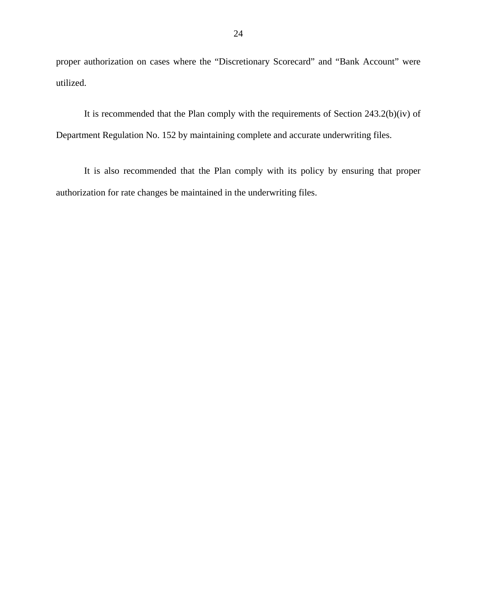proper authorization on cases where the "Discretionary Scorecard" and "Bank Account" were utilized.

It is recommended that the Plan comply with the requirements of Section 243.2(b)(iv) of Department Regulation No. 152 by maintaining complete and accurate underwriting files.

It is also recommended that the Plan comply with its policy by ensuring that proper authorization for rate changes be maintained in the underwriting files.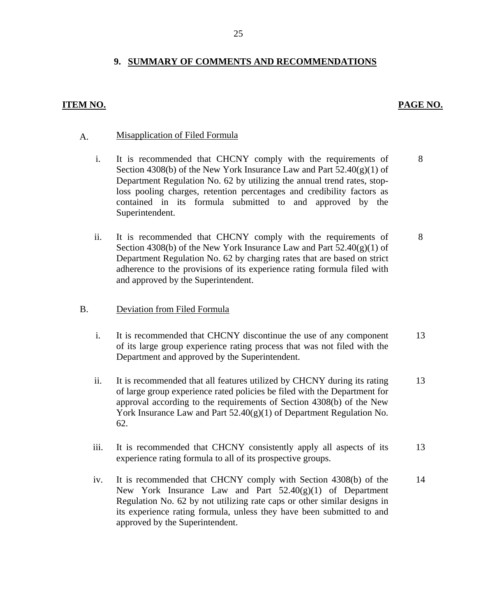## **9. SUMMARY OF COMMENTS AND RECOMMENDATIONS**

#### **ITEM NO. PAGE NO. PAGE NO.**

# A. Misapplication of Filed Formula

- i. It is recommended that CHCNY comply with the requirements of Section 4308(b) of the New York Insurance Law and Part  $52.40(g)(1)$  of Department Regulation No. 62 by utilizing the annual trend rates, stoploss pooling charges, retention percentages and credibility factors as contained in its formula submitted to and approved by the Superintendent.
- ii. It is recommended that CHCNY comply with the requirements of Section 4308(b) of the New York Insurance Law and Part  $52.40(g)(1)$  of Department Regulation No. 62 by charging rates that are based on strict adherence to the provisions of its experience rating formula filed with and approved by the Superintendent. 8

#### Deviation from Filed Formula

- B. Deviation from Filed Formula<br>i. It is recommended that CHCNY discontinue the use of any component of its large group experience rating process that was not filed with the Department and approved by the Superintendent. 13
	- ii. It is recommended that all features utilized by CHCNY during its rating of large group experience rated policies be filed with the Department for approval according to the requirements of Section 4308(b) of the New York Insurance Law and Part 52.40(g)(1) of Department Regulation No. 62. 13
	- iii. It is recommended that CHCNY consistently apply all aspects of its experience rating formula to all of its prospective groups. 13
	- iv. It is recommended that CHCNY comply with Section 4308(b) of the New York Insurance Law and Part  $52.40(g)(1)$  of Department Regulation No. 62 by not utilizing rate caps or other similar designs in its experience rating formula, unless they have been submitted to and approved by the Superintendent. 14

8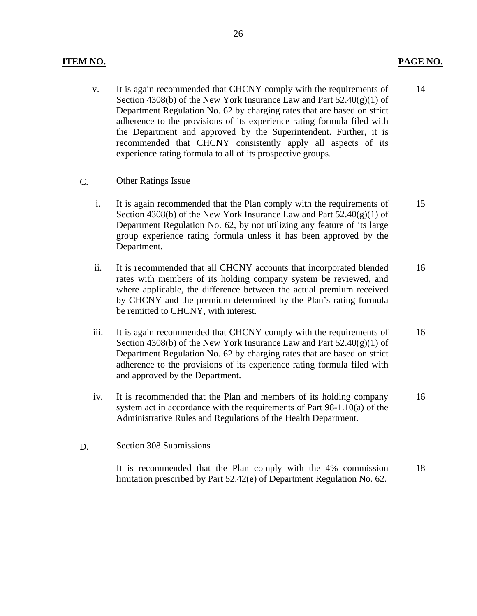### **ITEM NO. PAGE NO.**

 v. It is again recommended that CHCNY comply with the requirements of Section 4308(b) of the New York Insurance Law and Part  $52.40(g)(1)$  of Department Regulation No. 62 by charging rates that are based on strict adherence to the provisions of its experience rating formula filed with the Department and approved by the Superintendent. Further, it is recommended that CHCNY consistently apply all aspects of its experience rating formula to all of its prospective groups. 14

#### C. Other Ratings Issue

- i. It is again recommended that the Plan comply with the requirements of Section 4308(b) of the New York Insurance Law and Part  $52.40(g)(1)$  of Department Regulation No. 62, by not utilizing any feature of its large group experience rating formula unless it has been approved by the Department. 15
- ii. It is recommended that all CHCNY accounts that incorporated blended rates with members of its holding company system be reviewed, and where applicable, the difference between the actual premium received by CHCNY and the premium determined by the Plan's rating formula be remitted to CHCNY, with interest. 16
- iii. It is again recommended that CHCNY comply with the requirements of Section 4308(b) of the New York Insurance Law and Part  $52.40(g)(1)$  of Department Regulation No. 62 by charging rates that are based on strict adherence to the provisions of its experience rating formula filed with and approved by the Department. 16
- iv. It is recommended that the Plan and members of its holding company system act in accordance with the requirements of Part 98-1.10(a) of the Administrative Rules and Regulations of the Health Department. 16

#### D. Section 308 Submissions

It is recommended that the Plan comply with the 4% commission limitation prescribed by Part 52.42(e) of Department Regulation No. 62. 18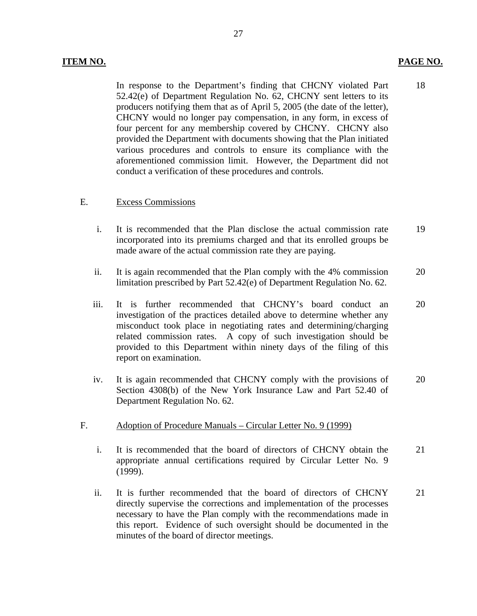18

In response to the Department's finding that CHCNY violated Part 52.42(e) of Department Regulation No. 62, CHCNY sent letters to its producers notifying them that as of April 5, 2005 (the date of the letter), CHCNY would no longer pay compensation, in any form, in excess of four percent for any membership covered by CHCNY. CHCNY also provided the Department with documents showing that the Plan initiated various procedures and controls to ensure its compliance with the aforementioned commission limit. However, the Department did not conduct a verification of these procedures and controls.

#### **Excess Commissions**

- E. Excess Commissions<br>i. It is recommended that the Plan disclose the actual commission rate incorporated into its premiums charged and that its enrolled groups be made aware of the actual commission rate they are paying. 19
	- ii. It is again recommended that the Plan comply with the 4% commission limitation prescribed by Part 52.42(e) of Department Regulation No. 62. 20
	- iii. It is further recommended that CHCNY's board conduct an investigation of the practices detailed above to determine whether any misconduct took place in negotiating rates and determining/charging related commission rates. A copy of such investigation should be provided to this Department within ninety days of the filing of this report on examination. 20
	- iv. It is again recommended that CHCNY comply with the provisions of Section 4308(b) of the New York Insurance Law and Part 52.40 of Department Regulation No. 62. 20
- Adoption of Procedure Manuals Circular Letter No. 9 (1999)
- F. Adoption of Procedure Manuals Circular Letter No. 9 (1999)<br>i. It is recommended that the board of directors of CHCNY obtain the appropriate annual certifications required by Circular Letter No. 9 (1999). 21
	- ii. It is further recommended that the board of directors of CHCNY directly supervise the corrections and implementation of the processes necessary to have the Plan comply with the recommendations made in this report. Evidence of such oversight should be documented in the minutes of the board of director meetings. 21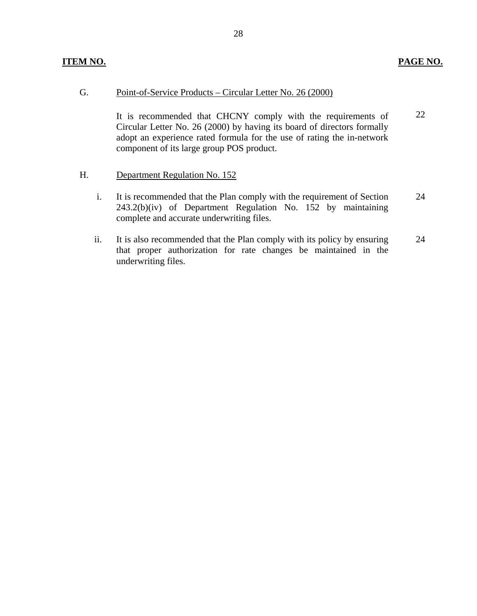#### <u> Point-of-Service Products – Circular Letter No. 26 (2000)</u>

G. Point-of-Service Products – Circular Letter No. 26 (2000)<br>It is recommended that CHCNY comply with the requirements of Circular Letter No. 26 (2000) by having its board of directors formally adopt an experience rated formula for the use of rating the in-network component of its large group POS product. 22

- H. Department Regulation No. 152
	- i. It is recommended that the Plan comply with the requirement of Section 243.2(b)(iv) of Department Regulation No. 152 by maintaining complete and accurate underwriting files. 24
	- ii. It is also recommended that the Plan comply with its policy by ensuring that proper authorization for rate changes be maintained in the underwriting files. 24